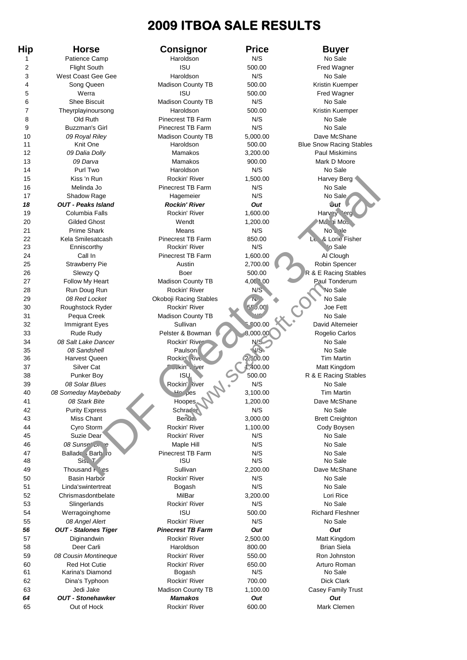## **2009 ITBOA SALE RESULTS**

**Hip Horse Consignor Price Buyer** 1 Patience Camp **Haroldson** Haroldson N/S No Sale 2 Flight South **ISU** 500.00 Fred Wagner 3 West Coast Gee Gee Haroldson N/S No Sale 4 Song Queen Madison County TB 500.00 Kristin Kuemper 5 **Werra ISU** ISU 500.00 Fred Wagner 6 Shee Biscuit Madison County TB N/S No Sale 7 Theyrplayinoursong **Haroldson** Haroldson 500.00 Kristin Kuemper 8 Old Ruth Pinecrest TB Farm N/S No Sale 9 Buzzman's Girl Pinecrest TB Farm N/S No Sale 10 *09 Royal Riley* Madison County TB 5,000.00 Dave McShane 11 Knit One Haroldson 500.00 Blue Snow Racing Stables 12 *09 Dalia Dolly* Mamakos 3,200.00 Paul Miskimins 13 *09 Darva* Mamakos 900.00 Mark D Moore 14 **Purl Two Net Alter Haroldson** No Sale No Sale No Sale 15 Kiss 'n Run Rockin' River 1,500.00 Harvey Berg 16 Melinda Jo **Pinecrest TB Farm** N/S No Sale 17 Shadow Rage **Hagemeier** Hagemeier N/S No Sale *18 OUT - Peaks Island Rockin' River Out Out* 19 Columbia Falls **Rockin' River 1,600.00** Harvey Brocker 20 Gilded Ghost Wendt 1,200.00 Maggi Moss 21 Prime Shark Means Means N/S No Share References and the Most Route 22 Kela Smilesatcash Pinecrest TB Farm 850.00 Le & Lorie Fisher 23 **Enniscorthy Rockin' River N/S** N/S No Sale 24 Call In Pinecrest TB Farm 1,600.00 AL Clough 25 Strawberry Pie **Austin 2,700.00** Robin Spencer 26 Slewzy Q Boer 500.00 R & E Racing Stables 27 Follow My Heart Madison County TB 4,0000 Paul Tonderum 28 Run Doug Run No Sale Rockin' River No Sale No Sale 29 08 Red Locket **Okoboji Racing Stables** No Sale 30 Roughstock Ryder Rockin' River 55 J.000 Joe Fett 31 Pequa Creek Madison County TB No Sale 32 Immigrant Eyes Sullivan 5,500.00 David Altemeier 33 Rude Rudy Pelster & Bowman 8,000.00 Rogelio Carlos 34 08 Salt Lake Dancer Rockin' River No Sale N/S No Sale 35 *08 Sandshell* Paulson N/S No Sale 36 Harvest Queen **Rockin' Rockin' Rockin** Reckine Rockine Rockine Rockine Reckine Reckine Rockine Rockine Rockine Rockine Reckine Rockine Rockine Rockine Rockine Rockine Rockine Rockine Rockine Rockine Rockine Rockine Rock 37 Silver Cat Silver Cat Rockin' River 1,400.00 Matt Kingdom 38 Punker Boy **ISU 500.00** R & E Racing Stables 39 *08 Solar Blues* Rockin' River N/S No Sale<br>40 *08 Someday Maybebaby* And Homes 3,100.00 Tim Marti 40 *08 Someday Maybebaby* Hoopes 3,100.00 Tim Martin 41 *08 Stark Bite* Hoopes 1,200.00 Dave McShane 42 Purity Express Schrader N/S No Sale 43 Miss Chant Benda 3,000.00 Brett Creighton 44 Cyro Storm Rockin' River 1,100.00 Cody Boysen 45 Suzie Dear Rockin' River N/S No Sale 46 **08 Sunset Drive Maple Hill N/S** No Sale 47 Ballado Barbaro Pinecrest TB Farm N/S No Sale 48 Sisu T is the Solution of the Solution of the Sale in the Solution of the Solution of the Solution of the Solution of the Solution of the Solution of the Solution of the Solution of the Solution of the Solution of the S 49 Thousand Pices Sullivan 2,200.00 Dave McShane 50 Basin Harbor **Basin Harbor Basin Harbor Rockin'** River N/S No Sale 51 Linda's wintertreat **Bogash** Bookshoot Bookshoot N/S No Sale 52 Chrismasdontbelate MilBar 3,200.00 Lori Rice 53 Slingerlands Rockin' River N/S No Sale 54 Werragoinghome ISU 500.00 Richard Fleshner 55 08 Angel Alert **No Sale Contains Container Rockin' River** No Sale No Sale No Sale *56 OUT - Stalones Tiger Pinecrest TB Farm Out Out* 57 Diginandwin Rockin' River 2,500.00 Matt Kingdom 58 Deer Carli Haroldson 800.00 Brian Siela 59 *08 Cousin Montineque* Rockin' River 550.00 Ron Johnston 60 Red Hot Cutie Rockin' River 650.00 Arturo Roman 61 Karina's Diamond **Bogash N/S** No Sale 62 Dina's Typhoon Rockin' River 700.00 Dick Clark 63 Jedi Jake Madison County TB 1,100.00 Casey Family Trust *64 OUT - Stonehawker Mamakos Out Out* 65 Out of Hock **Canada Rockin' River 600.00** Mark Clemen

s in Run Rockin River<br>
Manage Burnetest TB Farm NS<br>
Contained and the summar and the state of the state of the state of the state of the state of the state of the state of the state of the state of the state of the state Country TB<br>
The Trip Stables<br>
The Trip Stables<br>
The Trip Stables<br>
The Trip Stables<br>
The Trip Stables<br>
The Trip Stables<br>
The Trip Stables<br>
The Trip Stable Rog<br>
The Trip Stable Rog<br>
The Trip Stable Rog<br>
The Trip Stable Rog<br>